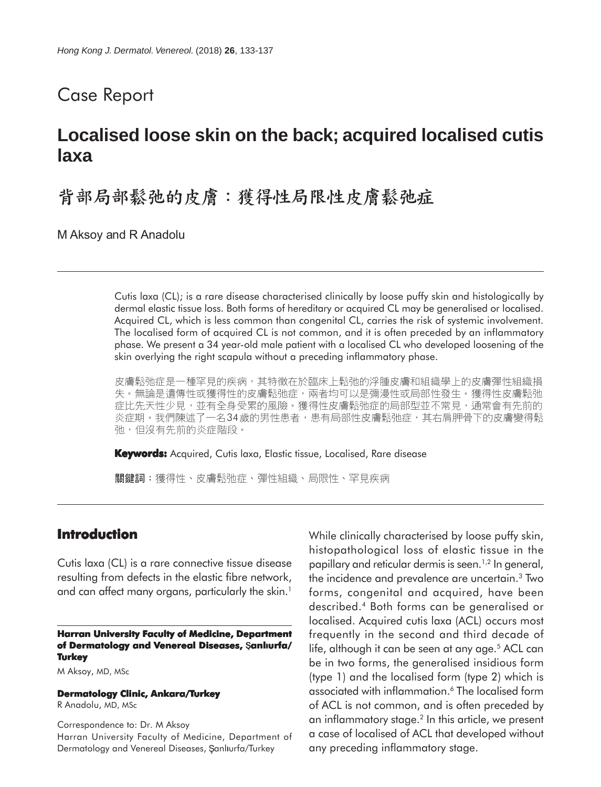## Case Report

# **Localised loose skin on the back; acquired localised cutis laxa**

背部局部鬆弛的皮膚:獲得性局限性皮膚鬆弛症

M Aksoy and R Anadolu

Cutis laxa (CL); is a rare disease characterised clinically by loose puffy skin and histologically by dermal elastic tissue loss. Both forms of hereditary or acquired CL may be generalised or localised. Acquired CL, which is less common than congenital CL, carries the risk of systemic involvement. The localised form of acquired CL is not common, and it is often preceded by an inflammatory phase. We present a 34 year-old male patient with a localised CL who developed loosening of the skin overlying the right scapula without a preceding inflammatory phase.

皮膚鬆弛症是一種罕見的疾病,其特徵在於臨床上鬆弛的浮腫皮膚和組織學上的皮膚彈性組織損 失。無論是遺傳性或獲得性的皮膚鬆弛症,兩者均可以是彌漫性或局部性發生。獲得性皮膚鬆弛 症比先天性少見,並有全身受累的風險。獲得性皮膚鬆弛症的局部型並不常見,通常會有先前的 炎症期。我們陳述了一名34歲的男性患者,患有局部性皮膚鬆弛症,其右肩胛骨下的皮膚變得鬆 弛,但沒有先前的炎症階段。

**Keywords:** Acquired, Cutis laxa, Elastic tissue, Localised, Rare disease

關鍵詞:獲得性、皮膚鬆弛症、彈性組織、局限性、罕見疾病

#### **Introduction**

Cutis laxa (CL) is a rare connective tissue disease resulting from defects in the elastic fibre network, and can affect many organs, particularly the skin.<sup>1</sup>

**Harran University Faculty of Medicine, Department of Dermatology and Venereal Diseases, anllurfa/ Turkey**

M Aksoy, MD, MSc

**Dermatology Clinic, Ankara/Turkey**

R Anadolu, MD, MSc

Correspondence to: Dr. M Aksoy Harran University Faculty of Medicine, Department of Dermatology and Venereal Diseases, Şanlıurfa/Turkey

While clinically characterised by loose puffy skin, histopathological loss of elastic tissue in the papillary and reticular dermis is seen.<sup>1,2</sup> In general, the incidence and prevalence are uncertain.3 Two forms, congenital and acquired, have been described.4 Both forms can be generalised or localised. Acquired cutis laxa (ACL) occurs most frequently in the second and third decade of life, although it can be seen at any age.<sup>5</sup> ACL can be in two forms, the generalised insidious form (type 1) and the localised form (type 2) which is associated with inflammation.6 The localised form of ACL is not common, and is often preceded by an inflammatory stage.2 In this article, we present a case of localised of ACL that developed without any preceding inflammatory stage.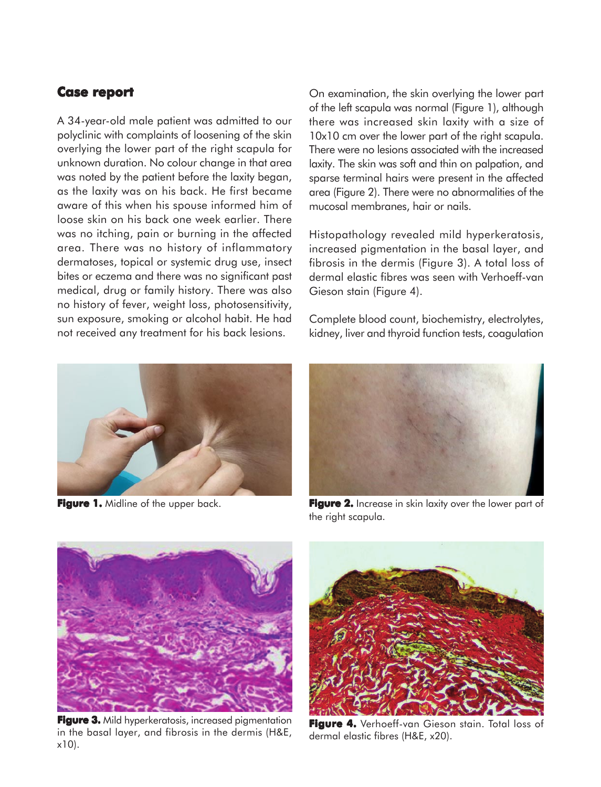## **Case report report**

A 34-year-old male patient was admitted to our polyclinic with complaints of loosening of the skin overlying the lower part of the right scapula for unknown duration. No colour change in that area was noted by the patient before the laxity began, as the laxity was on his back. He first became aware of this when his spouse informed him of loose skin on his back one week earlier. There was no itching, pain or burning in the affected area. There was no history of inflammatory dermatoses, topical or systemic drug use, insect bites or eczema and there was no significant past medical, drug or family history. There was also no history of fever, weight loss, photosensitivity, sun exposure, smoking or alcohol habit. He had not received any treatment for his back lesions.



On examination, the skin overlying the lower part of the left scapula was normal (Figure 1), although there was increased skin laxity with a size of 10x10 cm over the lower part of the right scapula. There were no lesions associated with the increased laxity. The skin was soft and thin on palpation, and sparse terminal hairs were present in the affected area (Figure 2). There were no abnormalities of the mucosal membranes, hair or nails.

Histopathology revealed mild hyperkeratosis, increased pigmentation in the basal layer, and fibrosis in the dermis (Figure 3). A total loss of dermal elastic fibres was seen with Verhoeff-van Gieson stain (Figure 4).

Complete blood count, biochemistry, electrolytes, kidney, liver and thyroid function tests, coagulation



**Figure 1.** Midline of the upper back. **Figure 2.** Increase in skin laxity over the lower part of the right scapula.



**Figure 3.** Mild hyperkeratosis, increased pigmentation in the basal layer, and fibrosis in the dermis (H&E, x10).



**Figure 4.** Verhoeff-van Gieson stain. Total loss of dermal elastic fibres (H&E, x20).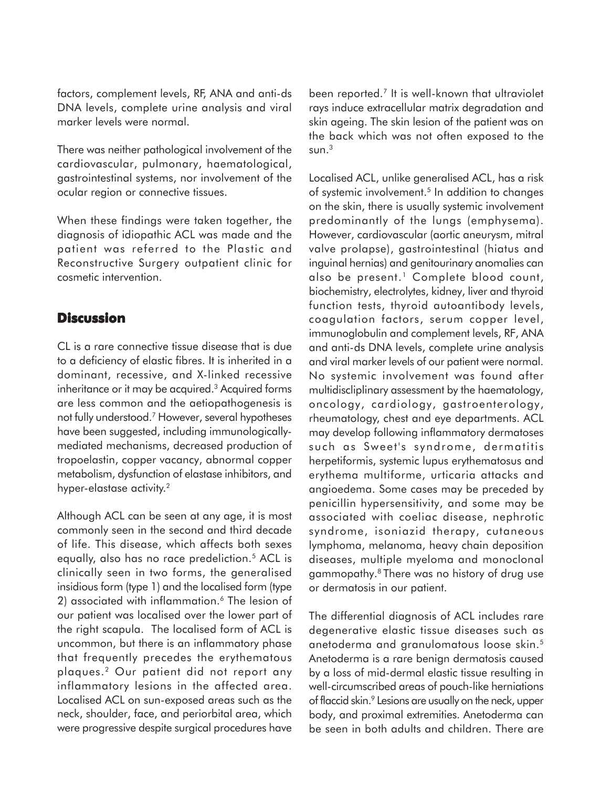factors, complement levels, RF, ANA and anti-ds DNA levels, complete urine analysis and viral marker levels were normal.

There was neither pathological involvement of the cardiovascular, pulmonary, haematological, gastrointestinal systems, nor involvement of the ocular region or connective tissues.

When these findings were taken together, the diagnosis of idiopathic ACL was made and the patient was referred to the Plastic and Reconstructive Surgery outpatient clinic for cosmetic intervention.

### **Discussion**

CL is a rare connective tissue disease that is due to a deficiency of elastic fibres. It is inherited in a dominant, recessive, and X-linked recessive inheritance or it may be acquired.<sup>3</sup> Acquired forms are less common and the aetiopathogenesis is not fully understood.7 However, several hypotheses have been suggested, including immunologicallymediated mechanisms, decreased production of tropoelastin, copper vacancy, abnormal copper metabolism, dysfunction of elastase inhibitors, and hyper-elastase activity.<sup>2</sup>

Although ACL can be seen at any age, it is most commonly seen in the second and third decade of life. This disease, which affects both sexes equally, also has no race predeliction.<sup>5</sup> ACL is clinically seen in two forms, the generalised insidious form (type 1) and the localised form (type 2) associated with inflammation.<sup>6</sup> The lesion of our patient was localised over the lower part of the right scapula. The localised form of ACL is uncommon, but there is an inflammatory phase that frequently precedes the erythematous plaques.2 Our patient did not report any inflammatory lesions in the affected area. Localised ACL on sun-exposed areas such as the neck, shoulder, face, and periorbital area, which were progressive despite surgical procedures have

been reported.7 It is well-known that ultraviolet rays induce extracellular matrix degradation and skin ageing. The skin lesion of the patient was on the back which was not often exposed to the  $sun<sup>3</sup>$ 

Localised ACL, unlike generalised ACL, has a risk of systemic involvement.5 In addition to changes on the skin, there is usually systemic involvement predominantly of the lungs (emphysema). However, cardiovascular (aortic aneurysm, mitral valve prolapse), gastrointestinal (hiatus and inguinal hernias) and genitourinary anomalies can also be present.<sup>1</sup> Complete blood count, biochemistry, electrolytes, kidney, liver and thyroid function tests, thyroid autoantibody levels, coagulation factors, serum copper level, immunoglobulin and complement levels, RF, ANA and anti-ds DNA levels, complete urine analysis and viral marker levels of our patient were normal. No systemic involvement was found after multidiscliplinary assessment by the haematology, oncology, cardiology, gastroenterology, rheumatology, chest and eye departments. ACL may develop following inflammatory dermatoses such as Sweet's syndrome, dermatitis herpetiformis, systemic lupus erythematosus and erythema multiforme, urticaria attacks and angioedema. Some cases may be preceded by penicillin hypersensitivity, and some may be associated with coeliac disease, nephrotic syndrome, isoniazid therapy, cutaneous lymphoma, melanoma, heavy chain deposition diseases, multiple myeloma and monoclonal gammopathy.8 There was no history of drug use or dermatosis in our patient.

The differential diagnosis of ACL includes rare degenerative elastic tissue diseases such as anetoderma and granulomatous loose skin.5 Anetoderma is a rare benign dermatosis caused by a loss of mid-dermal elastic tissue resulting in well-circumscribed areas of pouch-like herniations of flaccid skin.9 Lesions are usually on the neck, upper body, and proximal extremities. Anetoderma can be seen in both adults and children. There are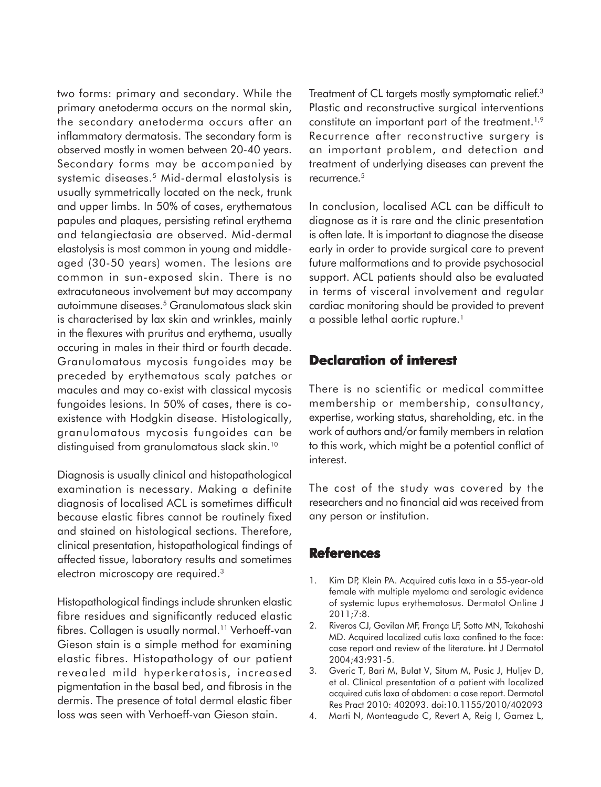two forms: primary and secondary. While the primary anetoderma occurs on the normal skin, the secondary anetoderma occurs after an inflammatory dermatosis. The secondary form is observed mostly in women between 20-40 years. Secondary forms may be accompanied by systemic diseases.5 Mid-dermal elastolysis is usually symmetrically located on the neck, trunk and upper limbs. In 50% of cases, erythematous papules and plaques, persisting retinal erythema and telangiectasia are observed. Mid-dermal elastolysis is most common in young and middleaged (30-50 years) women. The lesions are common in sun-exposed skin. There is no extracutaneous involvement but may accompany autoimmune diseases.5 Granulomatous slack skin is characterised by lax skin and wrinkles, mainly in the flexures with pruritus and erythema, usually occuring in males in their third or fourth decade. Granulomatous mycosis fungoides may be preceded by erythematous scaly patches or macules and may co-exist with classical mycosis fungoides lesions. In 50% of cases, there is coexistence with Hodgkin disease. Histologically, granulomatous mycosis fungoides can be distinguised from granulomatous slack skin.10

Diagnosis is usually clinical and histopathological examination is necessary. Making a definite diagnosis of localised ACL is sometimes difficult because elastic fibres cannot be routinely fixed and stained on histological sections. Therefore, clinical presentation, histopathological findings of affected tissue, laboratory results and sometimes electron microscopy are required.<sup>3</sup>

Histopathological findings include shrunken elastic fibre residues and significantly reduced elastic fibres. Collagen is usually normal.<sup>11</sup> Verhoeff-van Gieson stain is a simple method for examining elastic fibres. Histopathology of our patient revealed mild hyperkeratosis, increased pigmentation in the basal bed, and fibrosis in the dermis. The presence of total dermal elastic fiber loss was seen with Verhoeff-van Gieson stain.

Treatment of CL targets mostly symptomatic relief.<sup>3</sup> Plastic and reconstructive surgical interventions constitute an important part of the treatment.<sup>1,9</sup> Recurrence after reconstructive surgery is an important problem, and detection and treatment of underlying diseases can prevent the recurrence.5

In conclusion, localised ACL can be difficult to diagnose as it is rare and the clinic presentation is often late. It is important to diagnose the disease early in order to provide surgical care to prevent future malformations and to provide psychosocial support. ACL patients should also be evaluated in terms of visceral involvement and regular cardiac monitoring should be provided to prevent a possible lethal aortic rupture.<sup>1</sup>

## **Declaration of interest Declaration of**

There is no scientific or medical committee membership or membership, consultancy, expertise, working status, shareholding, etc. in the work of authors and/or family members in relation to this work, which might be a potential conflict of interest.

The cost of the study was covered by the researchers and no financial aid was received from any person or institution.

### **References**

- 1. Kim DP, Klein PA. Acquired cutis laxa in a 55-year-old female with multiple myeloma and serologic evidence of systemic lupus erythematosus. Dermatol Online J 2011;7:8.
- 2. Riveros CJ, Gavilan MF, França LF, Sotto MN, Takahashi MD. Acquired localized cutis laxa confined to the face: case report and review of the literature. Int J Dermatol 2004;43:931-5.
- 3. Gveric T, Bari M, Bulat V, Situm M, Pusic J, Huljev D, et al. Clinical presentation of a patient with localized acquired cutis laxa of abdomen: a case report. Dermatol Res Pract 2010: 402093. doi:10.1155/2010/402093
- 4. Marti N, Monteagudo C, Revert A, Reig I, Gamez L,